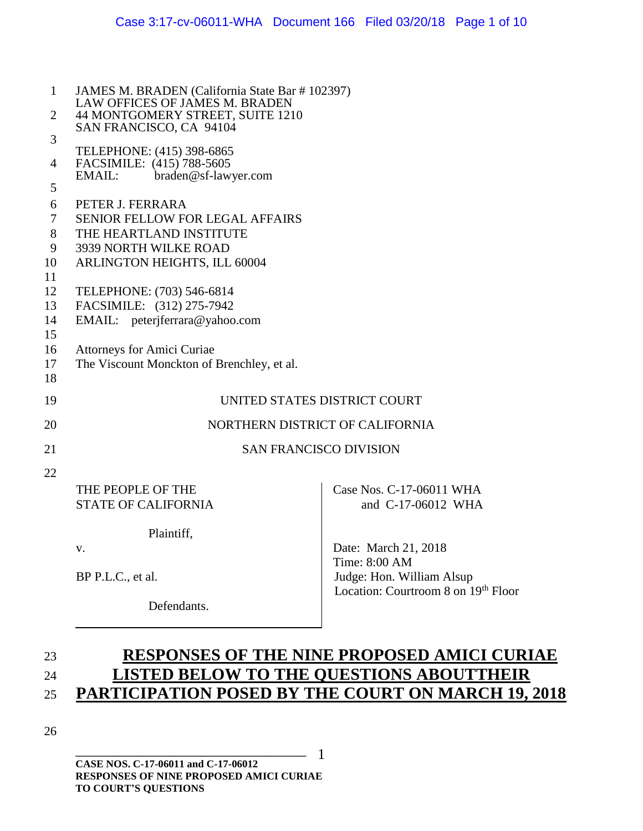| 1              | JAMES M. BRADEN (California State Bar # 102397)                    |                                       |  |  |  |  |
|----------------|--------------------------------------------------------------------|---------------------------------------|--|--|--|--|
| $\overline{2}$ | LAW OFFICES OF JAMES M. BRADEN<br>44 MONTGOMERY STREET, SUITE 1210 |                                       |  |  |  |  |
|                | SAN FRANCISCO, CA 94104                                            |                                       |  |  |  |  |
| 3              | TELEPHONE: (415) 398-6865                                          |                                       |  |  |  |  |
| 4              | FACSIMILE: (415) 788-5605                                          |                                       |  |  |  |  |
| 5              | EMAIL:<br>braden@sf-lawyer.com                                     |                                       |  |  |  |  |
| 6              | PETER J. FERRARA                                                   |                                       |  |  |  |  |
| $\tau$         | <b>SENIOR FELLOW FOR LEGAL AFFAIRS</b>                             |                                       |  |  |  |  |
| 8              | THE HEARTLAND INSTITUTE                                            |                                       |  |  |  |  |
| 9              | 3939 NORTH WILKE ROAD                                              |                                       |  |  |  |  |
| 10             | ARLINGTON HEIGHTS, ILL 60004                                       |                                       |  |  |  |  |
| 11             |                                                                    |                                       |  |  |  |  |
| 12             | TELEPHONE: (703) 546-6814                                          |                                       |  |  |  |  |
| 13             | FACSIMILE: (312) 275-7942                                          |                                       |  |  |  |  |
| 14<br>15       | EMAIL: peterjferrara@yahoo.com                                     |                                       |  |  |  |  |
| 16             | Attorneys for Amici Curiae                                         |                                       |  |  |  |  |
| 17             | The Viscount Monckton of Brenchley, et al.                         |                                       |  |  |  |  |
| 18             |                                                                    |                                       |  |  |  |  |
| 19             | UNITED STATES DISTRICT COURT                                       |                                       |  |  |  |  |
| 20             | NORTHERN DISTRICT OF CALIFORNIA                                    |                                       |  |  |  |  |
| 21             | <b>SAN FRANCISCO DIVISION</b>                                      |                                       |  |  |  |  |
| 22             |                                                                    |                                       |  |  |  |  |
|                | THE PEOPLE OF THE                                                  | Case Nos. C-17-06011 WHA              |  |  |  |  |
|                | <b>STATE OF CALIFORNIA</b>                                         | and C-17-06012 WHA                    |  |  |  |  |
|                |                                                                    |                                       |  |  |  |  |
|                | Plaintiff,                                                         |                                       |  |  |  |  |
|                | V.                                                                 | Date: March 21, 2018<br>Time: 8:00 AM |  |  |  |  |
|                | BP P.L.C., et al.                                                  | Judge: Hon. William Alsup             |  |  |  |  |
|                | Defendants.                                                        | Location: Courtroom 8 on 19th Floor   |  |  |  |  |
|                |                                                                    |                                       |  |  |  |  |

# 23 **RESPONSES OF THE NINE PROPOSED AMICI CURIAE** 24 **LISTED BELOW TO THE QUESTIONS ABOUTTHEIR**  25 **PARTICIPATION POSED BY THE COURT ON MARCH 19, 2018**

26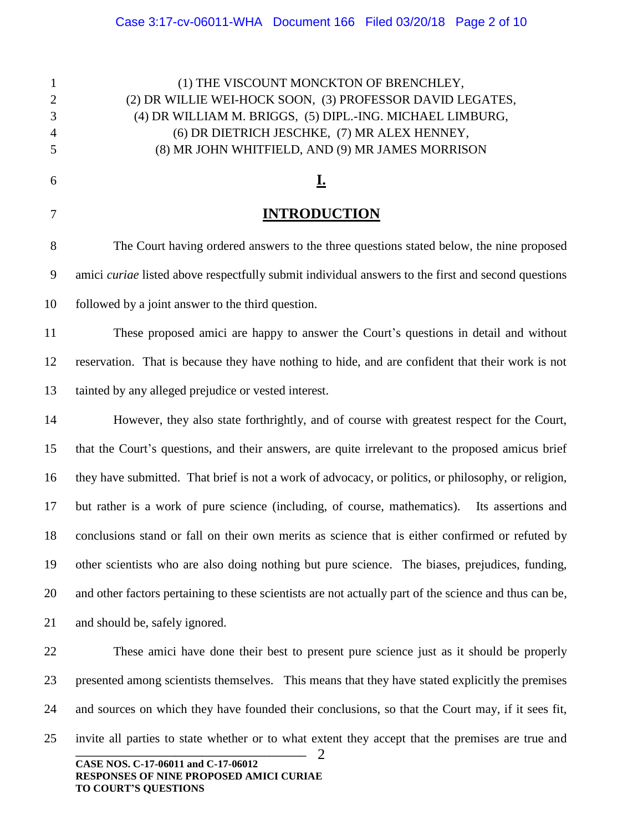**\_\_\_\_\_\_\_\_\_\_\_\_\_\_\_\_\_\_\_\_\_\_\_\_\_\_\_\_\_\_\_\_\_\_\_\_\_\_\_\_\_\_\_\_ CASE NOS. C-17-06011 and C-17-06012 RESPONSES OF NINE PROPOSED AMICI CURIAE TO COURT'S QUESTIONS** (1) THE VISCOUNT MONCKTON OF BRENCHLEY, (2) DR WILLIE WEI-HOCK SOON, (3) PROFESSOR DAVID LEGATES, (4) DR WILLIAM M. BRIGGS, (5) DIPL.-ING. MICHAEL LIMBURG, (6) DR DIETRICH JESCHKE, (7) MR ALEX HENNEY, (8) MR JOHN WHITFIELD, AND (9) MR JAMES MORRISON **I. INTRODUCTION**  The Court having ordered answers to the three questions stated below, the nine proposed amici *curiae* listed above respectfully submit individual answers to the first and second questions followed by a joint answer to the third question. These proposed amici are happy to answer the Court's questions in detail and without reservation. That is because they have nothing to hide, and are confident that their work is not tainted by any alleged prejudice or vested interest. However, they also state forthrightly, and of course with greatest respect for the Court, that the Court's questions, and their answers, are quite irrelevant to the proposed amicus brief they have submitted. That brief is not a work of advocacy, or politics, or philosophy, or religion, but rather is a work of pure science (including, of course, mathematics). Its assertions and conclusions stand or fall on their own merits as science that is either confirmed or refuted by other scientists who are also doing nothing but pure science. The biases, prejudices, funding, and other factors pertaining to these scientists are not actually part of the science and thus can be, and should be, safely ignored. These amici have done their best to present pure science just as it should be properly presented among scientists themselves. This means that they have stated explicitly the premises and sources on which they have founded their conclusions, so that the Court may, if it sees fit, invite all parties to state whether or to what extent they accept that the premises are true and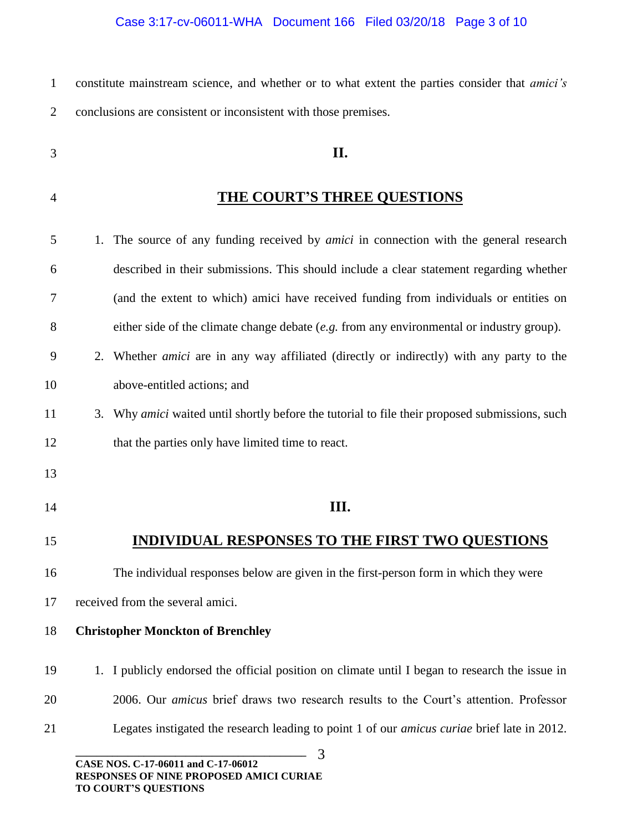| constitute mainstream science, and whether or to what extent the parties consider that <i>amici's</i> |  |  |  |  |  |
|-------------------------------------------------------------------------------------------------------|--|--|--|--|--|
| 2 conclusions are consistent or inconsistent with those premises.                                     |  |  |  |  |  |

- **II.**
- 

## **THE COURT'S THREE QUESTIONS**

 1. The source of any funding received by *amici* in connection with the general research described in their submissions. This should include a clear statement regarding whether (and the extent to which) amici have received funding from individuals or entities on either side of the climate change debate (*e.g.* from any environmental or industry group). 2. Whether *amici* are in any way affiliated (directly or indirectly) with any party to the above-entitled actions; and 3. Why *amici* waited until shortly before the tutorial to file their proposed submissions, such that the parties only have limited time to react. **III. INDIVIDUAL RESPONSES TO THE FIRST TWO QUESTIONS** The individual responses below are given in the first-person form in which they were received from the several amici. **Christopher Monckton of Brenchley** 1. I publicly endorsed the official position on climate until I began to research the issue in 2006. Our *amicus* brief draws two research results to the Court's attention. Professor Legates instigated the research leading to point 1 of our *amicus curiae* brief late in 2012.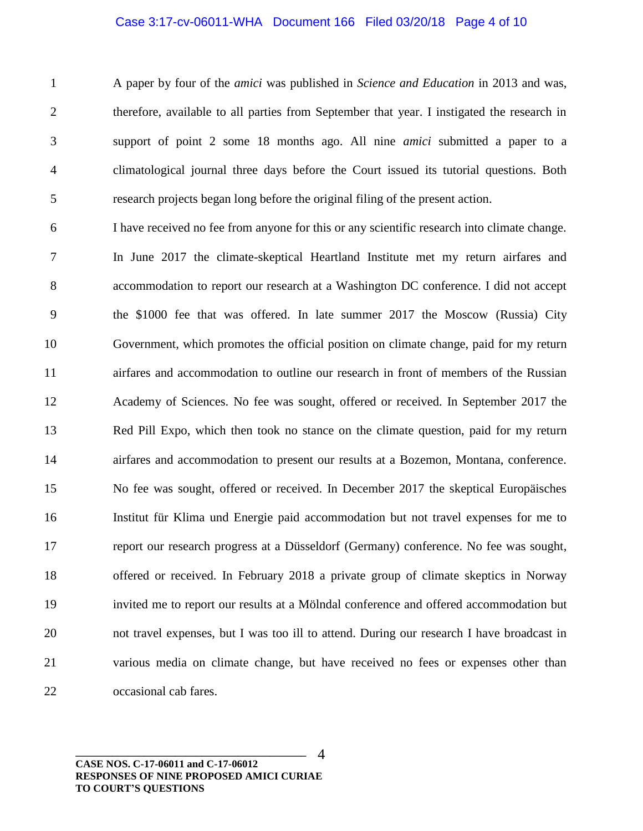#### Case 3:17-cv-06011-WHA Document 166 Filed 03/20/18 Page 4 of 10

 A paper by four of the *amici* was published in *Science and Education* in 2013 and was, therefore, available to all parties from September that year. I instigated the research in support of point 2 some 18 months ago. All nine *amici* submitted a paper to a climatological journal three days before the Court issued its tutorial questions. Both research projects began long before the original filing of the present action.

 I have received no fee from anyone for this or any scientific research into climate change. In June 2017 the climate-skeptical Heartland Institute met my return airfares and accommodation to report our research at a Washington DC conference. I did not accept the \$1000 fee that was offered. In late summer 2017 the Moscow (Russia) City Government, which promotes the official position on climate change, paid for my return airfares and accommodation to outline our research in front of members of the Russian Academy of Sciences. No fee was sought, offered or received. In September 2017 the Red Pill Expo, which then took no stance on the climate question, paid for my return airfares and accommodation to present our results at a Bozemon, Montana, conference. No fee was sought, offered or received. In December 2017 the skeptical Europäisches Institut für Klima und Energie paid accommodation but not travel expenses for me to report our research progress at a Düsseldorf (Germany) conference. No fee was sought, offered or received. In February 2018 a private group of climate skeptics in Norway invited me to report our results at a Mölndal conference and offered accommodation but not travel expenses, but I was too ill to attend. During our research I have broadcast in various media on climate change, but have received no fees or expenses other than occasional cab fares.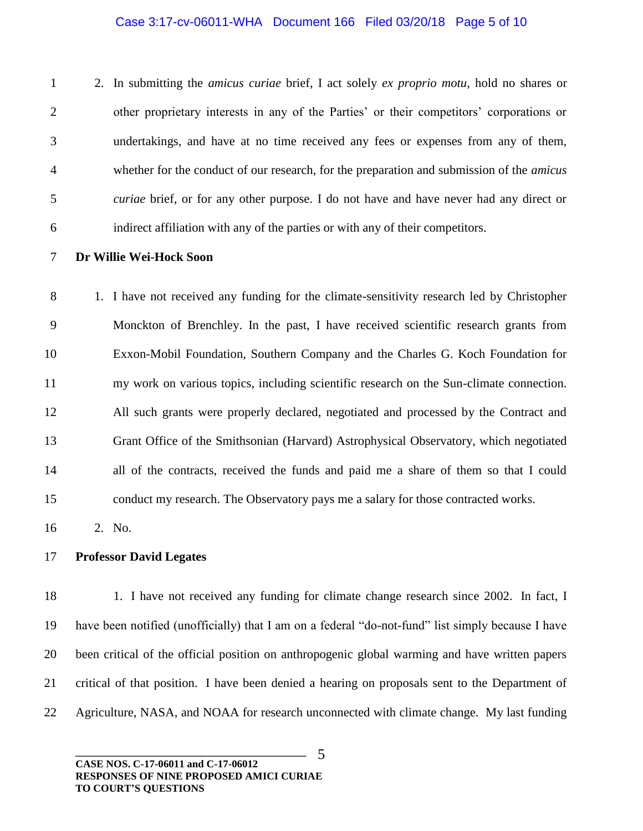#### Case 3:17-cv-06011-WHA Document 166 Filed 03/20/18 Page 5 of 10

 2. In submitting the *amicus curiae* brief, I act solely *ex proprio motu*, hold no shares or other proprietary interests in any of the Parties' or their competitors' corporations or undertakings, and have at no time received any fees or expenses from any of them, whether for the conduct of our research, for the preparation and submission of the *amicus curiae* brief, or for any other purpose. I do not have and have never had any direct or indirect affiliation with any of the parties or with any of their competitors.

**Dr Willie Wei-Hock Soon**

 1. I have not received any funding for the climate-sensitivity research led by Christopher Monckton of Brenchley. In the past, I have received scientific research grants from Exxon-Mobil Foundation, Southern Company and the Charles G. Koch Foundation for my work on various topics, including scientific research on the Sun-climate connection. All such grants were properly declared, negotiated and processed by the Contract and Grant Office of the Smithsonian (Harvard) Astrophysical Observatory, which negotiated all of the contracts, received the funds and paid me a share of them so that I could conduct my research. The Observatory pays me a salary for those contracted works.

2. No.

#### **Professor David Legates**

18 1. I have not received any funding for climate change research since 2002. In fact, I have been notified (unofficially) that I am on a federal "do-not-fund" list simply because I have been critical of the official position on anthropogenic global warming and have written papers critical of that position. I have been denied a hearing on proposals sent to the Department of Agriculture, NASA, and NOAA for research unconnected with climate change. My last funding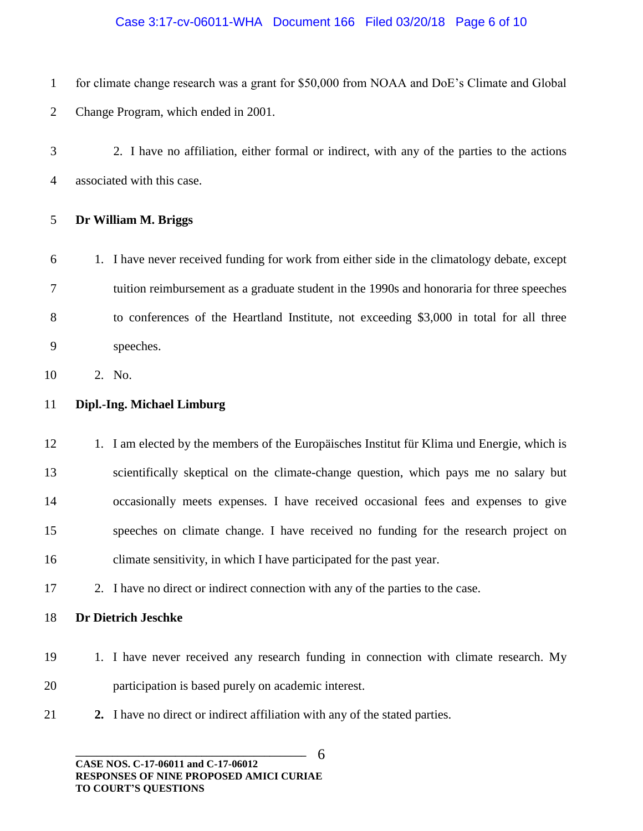### Case 3:17-cv-06011-WHA Document 166 Filed 03/20/18 Page 6 of 10

- for climate change research was a grant for \$50,000 from NOAA and DoE's Climate and Global Change Program, which ended in 2001.
- 2. I have no affiliation, either formal or indirect, with any of the parties to the actions associated with this case.

## **Dr William M. Briggs**

 1. I have never received funding for work from either side in the climatology debate, except tuition reimbursement as a graduate student in the 1990s and honoraria for three speeches to conferences of the Heartland Institute, not exceeding \$3,000 in total for all three speeches.

2. No.

## **Dipl.-Ing. Michael Limburg**

12 1. I am elected by the members of the Europäisches Institut für Klima und Energie, which is scientifically skeptical on the climate-change question, which pays me no salary but occasionally meets expenses. I have received occasional fees and expenses to give speeches on climate change. I have received no funding for the research project on climate sensitivity, in which I have participated for the past year.

- 2. I have no direct or indirect connection with any of the parties to the case.
- **Dr Dietrich Jeschke**
- 19 1. I have never received any research funding in connection with climate research. My participation is based purely on academic interest.
- **2.** I have no direct or indirect affiliation with any of the stated parties.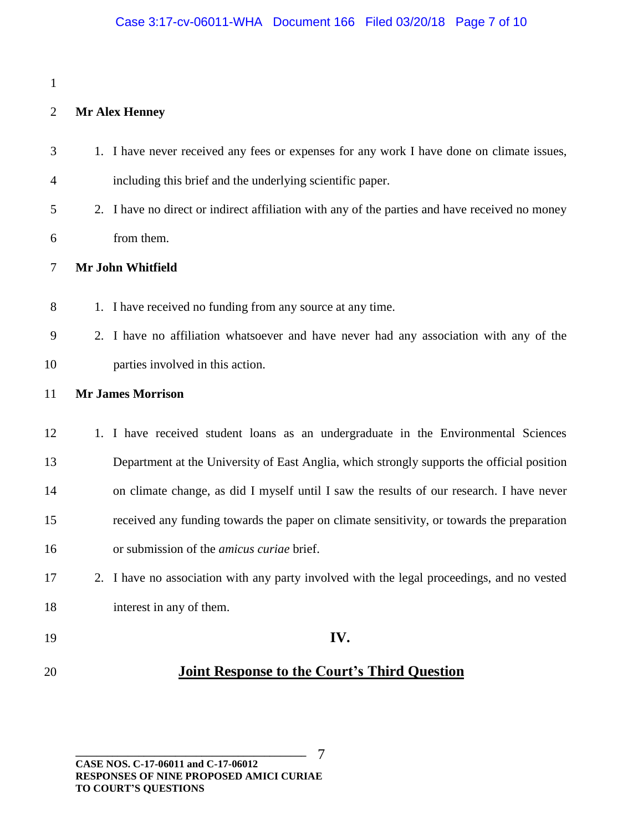### 

## **Mr Alex Henney**

| 3              | 1. I have never received any fees or expenses for any work I have done on climate issues,      |
|----------------|------------------------------------------------------------------------------------------------|
| $\overline{4}$ | including this brief and the underlying scientific paper.                                      |
| 5              | 2. I have no direct or indirect affiliation with any of the parties and have received no money |
| 6              | from them.                                                                                     |
| 7              | Mr John Whitfield                                                                              |
| 8              | 1. I have received no funding from any source at any time.                                     |
| 9              | 2. I have no affiliation whatsoever and have never had any association with any of the         |
| 10             | parties involved in this action.                                                               |
| 11             | <b>Mr James Morrison</b>                                                                       |
| 12             | 1. I have received student loans as an undergraduate in the Environmental Sciences             |
| 13             | Department at the University of East Anglia, which strongly supports the official position     |
| 14             | on climate change, as did I myself until I saw the results of our research. I have never       |
| 15             | received any funding towards the paper on climate sensitivity, or towards the preparation      |
| 16             | or submission of the amicus curiae brief.                                                      |
| 17             | 2. I have no association with any party involved with the legal proceedings, and no vested     |
| 18             | interest in any of them.                                                                       |
| 19             | IV.                                                                                            |
| 20             | <b>Joint Response to the Court's Third Question</b>                                            |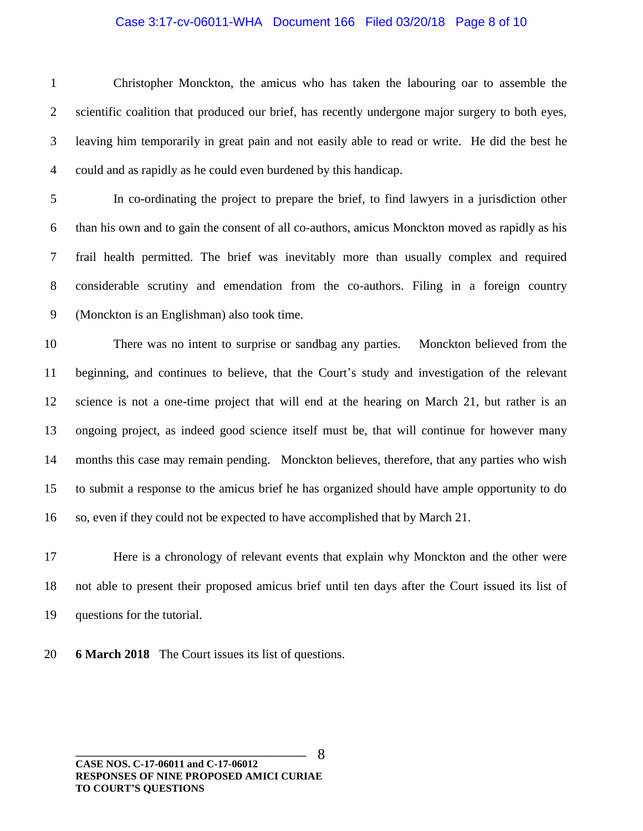#### Case 3:17-cv-06011-WHA Document 166 Filed 03/20/18 Page 8 of 10

 Christopher Monckton, the amicus who has taken the labouring oar to assemble the scientific coalition that produced our brief, has recently undergone major surgery to both eyes, leaving him temporarily in great pain and not easily able to read or write. He did the best he could and as rapidly as he could even burdened by this handicap.

 In co-ordinating the project to prepare the brief, to find lawyers in a jurisdiction other than his own and to gain the consent of all co-authors, amicus Monckton moved as rapidly as his frail health permitted. The brief was inevitably more than usually complex and required considerable scrutiny and emendation from the co-authors. Filing in a foreign country (Monckton is an Englishman) also took time.

 There was no intent to surprise or sandbag any parties. Monckton believed from the beginning, and continues to believe, that the Court's study and investigation of the relevant science is not a one-time project that will end at the hearing on March 21, but rather is an ongoing project, as indeed good science itself must be, that will continue for however many months this case may remain pending. Monckton believes, therefore, that any parties who wish to submit a response to the amicus brief he has organized should have ample opportunity to do so, even if they could not be expected to have accomplished that by March 21.

 Here is a chronology of relevant events that explain why Monckton and the other were not able to present their proposed amicus brief until ten days after the Court issued its list of questions for the tutorial.

**6 March 2018** The Court issues its list of questions.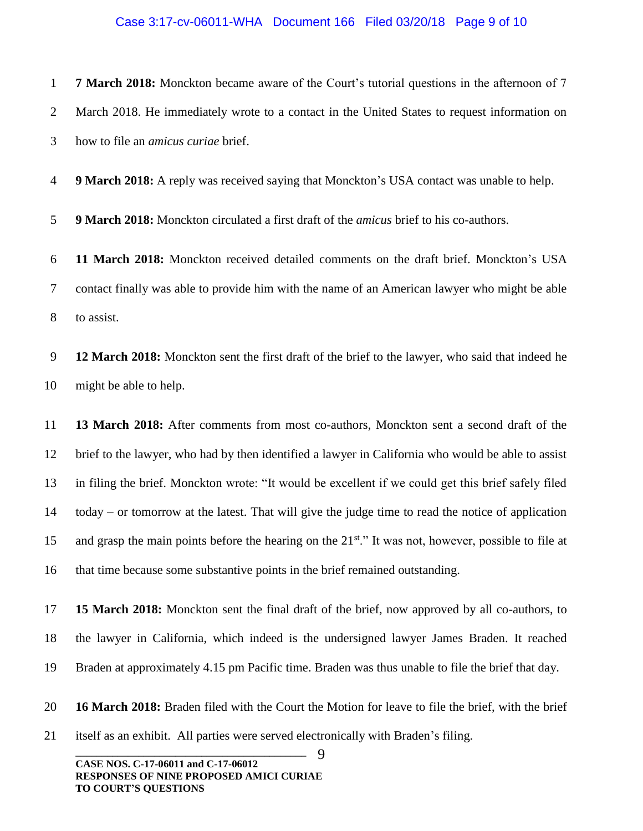#### Case 3:17-cv-06011-WHA Document 166 Filed 03/20/18 Page 9 of 10

 **7 March 2018:** Monckton became aware of the Court's tutorial questions in the afternoon of 7 March 2018. He immediately wrote to a contact in the United States to request information on how to file an *amicus curiae* brief.

**9 March 2018:** A reply was received saying that Monckton's USA contact was unable to help.

**9 March 2018:** Monckton circulated a first draft of the *amicus* brief to his co-authors.

 **11 March 2018:** Monckton received detailed comments on the draft brief. Monckton's USA contact finally was able to provide him with the name of an American lawyer who might be able to assist.

 **12 March 2018:** Monckton sent the first draft of the brief to the lawyer, who said that indeed he might be able to help.

 **13 March 2018:** After comments from most co-authors, Monckton sent a second draft of the brief to the lawyer, who had by then identified a lawyer in California who would be able to assist in filing the brief. Monckton wrote: "It would be excellent if we could get this brief safely filed today – or tomorrow at the latest. That will give the judge time to read the notice of application 15 and grasp the main points before the hearing on the  $21^{st}$ ." It was not, however, possible to file at that time because some substantive points in the brief remained outstanding.

 **15 March 2018:** Monckton sent the final draft of the brief, now approved by all co-authors, to the lawyer in California, which indeed is the undersigned lawyer James Braden. It reached Braden at approximately 4.15 pm Pacific time. Braden was thus unable to file the brief that day.

**16 March 2018:** Braden filed with the Court the Motion for leave to file the brief, with the brief

itself as an exhibit. All parties were served electronically with Braden's filing.